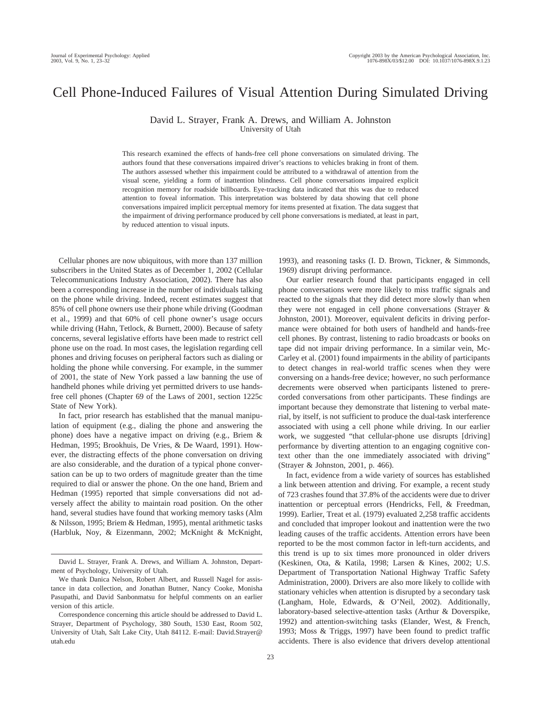# Cell Phone-Induced Failures of Visual Attention During Simulated Driving

David L. Strayer, Frank A. Drews, and William A. Johnston University of Utah

This research examined the effects of hands-free cell phone conversations on simulated driving. The authors found that these conversations impaired driver's reactions to vehicles braking in front of them. The authors assessed whether this impairment could be attributed to a withdrawal of attention from the visual scene, yielding a form of inattention blindness. Cell phone conversations impaired explicit recognition memory for roadside billboards. Eye-tracking data indicated that this was due to reduced attention to foveal information. This interpretation was bolstered by data showing that cell phone conversations impaired implicit perceptual memory for items presented at fixation. The data suggest that the impairment of driving performance produced by cell phone conversations is mediated, at least in part, by reduced attention to visual inputs.

Cellular phones are now ubiquitous, with more than 137 million subscribers in the United States as of December 1, 2002 (Cellular Telecommunications Industry Association, 2002). There has also been a corresponding increase in the number of individuals talking on the phone while driving. Indeed, recent estimates suggest that 85% of cell phone owners use their phone while driving (Goodman et al., 1999) and that 60% of cell phone owner's usage occurs while driving (Hahn, Tetlock, & Burnett, 2000). Because of safety concerns, several legislative efforts have been made to restrict cell phone use on the road. In most cases, the legislation regarding cell phones and driving focuses on peripheral factors such as dialing or holding the phone while conversing. For example, in the summer of 2001, the state of New York passed a law banning the use of handheld phones while driving yet permitted drivers to use handsfree cell phones (Chapter 69 of the Laws of 2001, section 1225c State of New York).

In fact, prior research has established that the manual manipulation of equipment (e.g., dialing the phone and answering the phone) does have a negative impact on driving (e.g., Briem & Hedman, 1995; Brookhuis, De Vries, & De Waard, 1991). However, the distracting effects of the phone conversation on driving are also considerable, and the duration of a typical phone conversation can be up to two orders of magnitude greater than the time required to dial or answer the phone. On the one hand, Briem and Hedman (1995) reported that simple conversations did not adversely affect the ability to maintain road position. On the other hand, several studies have found that working memory tasks (Alm & Nilsson, 1995; Briem & Hedman, 1995), mental arithmetic tasks (Harbluk, Noy, & Eizenmann, 2002; McKnight & McKnight, 1993), and reasoning tasks (I. D. Brown, Tickner, & Simmonds, 1969) disrupt driving performance.

Our earlier research found that participants engaged in cell phone conversations were more likely to miss traffic signals and reacted to the signals that they did detect more slowly than when they were not engaged in cell phone conversations (Strayer & Johnston, 2001). Moreover, equivalent deficits in driving performance were obtained for both users of handheld and hands-free cell phones. By contrast, listening to radio broadcasts or books on tape did not impair driving performance. In a similar vein, Mc-Carley et al. (2001) found impairments in the ability of participants to detect changes in real-world traffic scenes when they were conversing on a hands-free device; however, no such performance decrements were observed when participants listened to prerecorded conversations from other participants. These findings are important because they demonstrate that listening to verbal material, by itself, is not sufficient to produce the dual-task interference associated with using a cell phone while driving. In our earlier work, we suggested "that cellular-phone use disrupts [driving] performance by diverting attention to an engaging cognitive context other than the one immediately associated with driving" (Strayer & Johnston, 2001, p. 466).

In fact, evidence from a wide variety of sources has established a link between attention and driving. For example, a recent study of 723 crashes found that 37.8% of the accidents were due to driver inattention or perceptual errors (Hendricks, Fell, & Freedman, 1999). Earlier, Treat et al. (1979) evaluated 2,258 traffic accidents and concluded that improper lookout and inattention were the two leading causes of the traffic accidents. Attention errors have been reported to be the most common factor in left-turn accidents, and this trend is up to six times more pronounced in older drivers (Keskinen, Ota, & Katila, 1998; Larsen & Kines, 2002; U.S. Department of Transportation National Highway Traffic Safety Administration, 2000). Drivers are also more likely to collide with stationary vehicles when attention is disrupted by a secondary task (Langham, Hole, Edwards, & O'Neil, 2002). Additionally, laboratory-based selective-attention tasks (Arthur & Doverspike, 1992) and attention-switching tasks (Elander, West, & French, 1993; Moss & Triggs, 1997) have been found to predict traffic accidents. There is also evidence that drivers develop attentional

David L. Strayer, Frank A. Drews, and William A. Johnston, Department of Psychology, University of Utah.

We thank Danica Nelson, Robert Albert, and Russell Nagel for assistance in data collection, and Jonathan Butner, Nancy Cooke, Monisha Pasupathi, and David Sanbonmatsu for helpful comments on an earlier version of this article.

Correspondence concerning this article should be addressed to David L. Strayer, Department of Psychology, 380 South, 1530 East, Room 502, University of Utah, Salt Lake City, Utah 84112. E-mail: David.Strayer@ utah.edu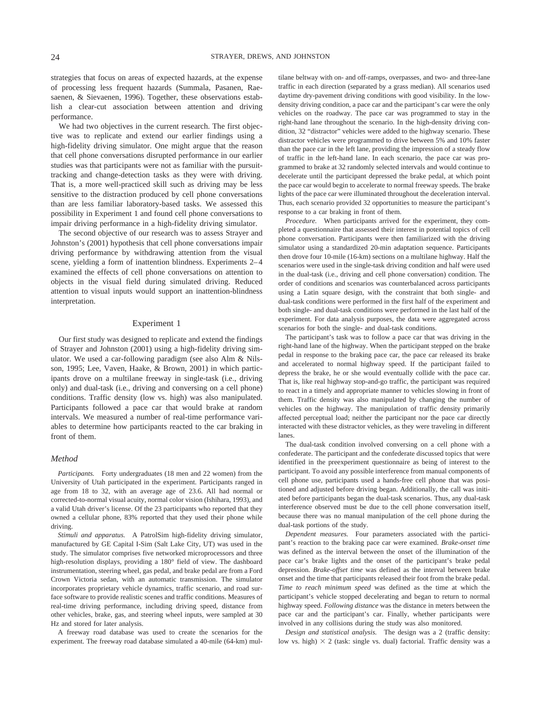strategies that focus on areas of expected hazards, at the expense of processing less frequent hazards (Summala, Pasanen, Raesaenen, & Sievaenen, 1996). Together, these observations establish a clear-cut association between attention and driving performance.

We had two objectives in the current research. The first objective was to replicate and extend our earlier findings using a high-fidelity driving simulator. One might argue that the reason that cell phone conversations disrupted performance in our earlier studies was that participants were not as familiar with the pursuittracking and change-detection tasks as they were with driving. That is, a more well-practiced skill such as driving may be less sensitive to the distraction produced by cell phone conversations than are less familiar laboratory-based tasks. We assessed this possibility in Experiment 1 and found cell phone conversations to impair driving performance in a high-fidelity driving simulator.

The second objective of our research was to assess Strayer and Johnston's (2001) hypothesis that cell phone conversations impair driving performance by withdrawing attention from the visual scene, yielding a form of inattention blindness. Experiments 2–4 examined the effects of cell phone conversations on attention to objects in the visual field during simulated driving. Reduced attention to visual inputs would support an inattention-blindness interpretation.

## Experiment 1

Our first study was designed to replicate and extend the findings of Strayer and Johnston (2001) using a high-fidelity driving simulator. We used a car-following paradigm (see also Alm & Nilsson, 1995; Lee, Vaven, Haake, & Brown, 2001) in which participants drove on a multilane freeway in single-task (i.e., driving only) and dual-task (i.e., driving and conversing on a cell phone) conditions. Traffic density (low vs. high) was also manipulated. Participants followed a pace car that would brake at random intervals. We measured a number of real-time performance variables to determine how participants reacted to the car braking in front of them.

## *Method*

*Participants.* Forty undergraduates (18 men and 22 women) from the University of Utah participated in the experiment. Participants ranged in age from 18 to 32, with an average age of 23.6. All had normal or corrected-to-normal visual acuity, normal color vision (Ishihara, 1993), and a valid Utah driver's license. Of the 23 participants who reported that they owned a cellular phone, 83% reported that they used their phone while driving.

*Stimuli and apparatus.* A PatrolSim high-fidelity driving simulator, manufactured by GE Capital I-Sim (Salt Lake City, UT) was used in the study. The simulator comprises five networked microprocessors and three high-resolution displays, providing a 180° field of view. The dashboard instrumentation, steering wheel, gas pedal, and brake pedal are from a Ford Crown Victoria sedan, with an automatic transmission. The simulator incorporates proprietary vehicle dynamics, traffic scenario, and road surface software to provide realistic scenes and traffic conditions. Measures of real-time driving performance, including driving speed, distance from other vehicles, brake, gas, and steering wheel inputs, were sampled at 30 Hz and stored for later analysis.

A freeway road database was used to create the scenarios for the experiment. The freeway road database simulated a 40-mile (64-km) multilane beltway with on- and off-ramps, overpasses, and two- and three-lane traffic in each direction (separated by a grass median). All scenarios used daytime dry-pavement driving conditions with good visibility. In the lowdensity driving condition, a pace car and the participant's car were the only vehicles on the roadway. The pace car was programmed to stay in the right-hand lane throughout the scenario. In the high-density driving condition, 32 "distractor" vehicles were added to the highway scenario. These distractor vehicles were programmed to drive between 5% and 10% faster than the pace car in the left lane, providing the impression of a steady flow of traffic in the left-hand lane. In each scenario, the pace car was programmed to brake at 32 randomly selected intervals and would continue to decelerate until the participant depressed the brake pedal, at which point the pace car would begin to accelerate to normal freeway speeds. The brake lights of the pace car were illuminated throughout the deceleration interval. Thus, each scenario provided 32 opportunities to measure the participant's response to a car braking in front of them.

*Procedure.* When participants arrived for the experiment, they completed a questionnaire that assessed their interest in potential topics of cell phone conversation. Participants were then familiarized with the driving simulator using a standardized 20-min adaptation sequence. Participants then drove four 10-mile (16-km) sections on a multilane highway. Half the scenarios were used in the single-task driving condition and half were used in the dual-task (i.e., driving and cell phone conversation) condition. The order of conditions and scenarios was counterbalanced across participants using a Latin square design, with the constraint that both single- and dual-task conditions were performed in the first half of the experiment and both single- and dual-task conditions were performed in the last half of the experiment. For data analysis purposes, the data were aggregated across scenarios for both the single- and dual-task conditions.

The participant's task was to follow a pace car that was driving in the right-hand lane of the highway. When the participant stepped on the brake pedal in response to the braking pace car, the pace car released its brake and accelerated to normal highway speed. If the participant failed to depress the brake, he or she would eventually collide with the pace car. That is, like real highway stop-and-go traffic, the participant was required to react in a timely and appropriate manner to vehicles slowing in front of them. Traffic density was also manipulated by changing the number of vehicles on the highway. The manipulation of traffic density primarily affected perceptual load; neither the participant nor the pace car directly interacted with these distractor vehicles, as they were traveling in different lanes.

The dual-task condition involved conversing on a cell phone with a confederate. The participant and the confederate discussed topics that were identified in the preexperiment questionnaire as being of interest to the participant. To avoid any possible interference from manual components of cell phone use, participants used a hands-free cell phone that was positioned and adjusted before driving began. Additionally, the call was initiated before participants began the dual-task scenarios. Thus, any dual-task interference observed must be due to the cell phone conversation itself, because there was no manual manipulation of the cell phone during the dual-task portions of the study.

*Dependent measures.* Four parameters associated with the participant's reaction to the braking pace car were examined. *Brake-onset time* was defined as the interval between the onset of the illumination of the pace car's brake lights and the onset of the participant's brake pedal depression. *Brake-offset time* was defined as the interval between brake onset and the time that participants released their foot from the brake pedal. *Time to reach minimum speed* was defined as the time at which the participant's vehicle stopped decelerating and began to return to normal highway speed. *Following distance* was the distance in meters between the pace car and the participant's car. Finally, whether participants were involved in any collisions during the study was also monitored.

*Design and statistical analysis.* The design was a 2 (traffic density: low vs. high)  $\times$  2 (task: single vs. dual) factorial. Traffic density was a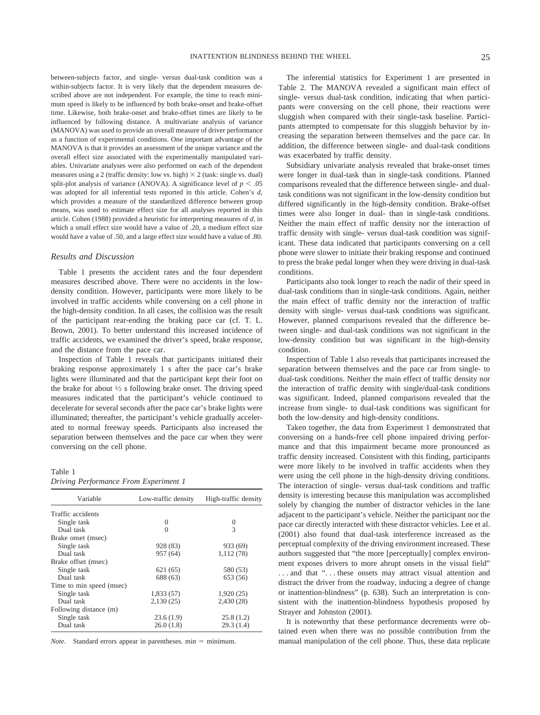between-subjects factor, and single- versus dual-task condition was a within-subjects factor. It is very likely that the dependent measures described above are not independent. For example, the time to reach minimum speed is likely to be influenced by both brake-onset and brake-offset time. Likewise, both brake-onset and brake-offset times are likely to be influenced by following distance. A multivariate analysis of variance (MANOVA) was used to provide an overall measure of driver performance as a function of experimental conditions. One important advantage of the MANOVA is that it provides an assessment of the unique variance and the overall effect size associated with the experimentally manipulated variables. Univariate analyses were also performed on each of the dependent measures using a 2 (traffic density: low vs. high)  $\times$  2 (task: single vs. dual) split-plot analysis of variance (ANOVA). A significance level of  $p < .05$ was adopted for all inferential tests reported in this article. Cohen's *d,* which provides a measure of the standardized difference between group means, was used to estimate effect size for all analyses reported in this article. Cohen (1988) provided a heuristic for interpreting measures of *d,* in which a small effect size would have a value of .20, a medium effect size would have a value of .50, and a large effect size would have a value of .80.

## *Results and Discussion*

Table 1 presents the accident rates and the four dependent measures described above. There were no accidents in the lowdensity condition. However, participants were more likely to be involved in traffic accidents while conversing on a cell phone in the high-density condition. In all cases, the collision was the result of the participant rear-ending the braking pace car (cf. T. L. Brown, 2001). To better understand this increased incidence of traffic accidents, we examined the driver's speed, brake response, and the distance from the pace car.

Inspection of Table 1 reveals that participants initiated their braking response approximately 1 s after the pace car's brake lights were illuminated and that the participant kept their foot on the brake for about  $\frac{1}{2}$  s following brake onset. The driving speed measures indicated that the participant's vehicle continued to decelerate for several seconds after the pace car's brake lights were illuminated; thereafter, the participant's vehicle gradually accelerated to normal freeway speeds. Participants also increased the separation between themselves and the pace car when they were conversing on the cell phone.

### Table 1 *Driving Performance From Experiment 1*

| Variable                 | Low-traffic density | High-traffic density |  |
|--------------------------|---------------------|----------------------|--|
| Traffic accidents        |                     |                      |  |
| Single task              | $\theta$            | 0                    |  |
| Dual task                | $\Omega$            | 3                    |  |
| Brake onset (msec)       |                     |                      |  |
| Single task              | 928 (83)            | 933 (69)             |  |
| Dual task                | 957 (64)            | 1,112(78)            |  |
| Brake offset (msec)      |                     |                      |  |
| Single task              | 621(65)             | 580 (53)             |  |
| Dual task                | 688 (63)            | 653 (56)             |  |
| Time to min speed (msec) |                     |                      |  |
| Single task              | 1,833(57)           | 1,920(25)            |  |
| Dual task                | 2,130(25)           | 2,430(28)            |  |
| Following distance (m)   |                     |                      |  |
| Single task              | 23.6(1.9)           | 25.8(1.2)            |  |
| Dual task                | 26.0(1.8)           | 29.3(1.4)            |  |

*Note.* Standard errors appear in parentheses.  $min = minimum$ .

The inferential statistics for Experiment 1 are presented in Table 2. The MANOVA revealed a significant main effect of single- versus dual-task condition, indicating that when participants were conversing on the cell phone, their reactions were sluggish when compared with their single-task baseline. Participants attempted to compensate for this sluggish behavior by increasing the separation between themselves and the pace car. In addition, the difference between single- and dual-task conditions was exacerbated by traffic density.

Subsidiary univariate analysis revealed that brake-onset times were longer in dual-task than in single-task conditions. Planned comparisons revealed that the difference between single- and dualtask conditions was not significant in the low-density condition but differed significantly in the high-density condition. Brake-offset times were also longer in dual- than in single-task conditions. Neither the main effect of traffic density nor the interaction of traffic density with single- versus dual-task condition was significant. These data indicated that participants conversing on a cell phone were slower to initiate their braking response and continued to press the brake pedal longer when they were driving in dual-task conditions.

Participants also took longer to reach the nadir of their speed in dual-task conditions than in single-task conditions. Again, neither the main effect of traffic density nor the interaction of traffic density with single- versus dual-task conditions was significant. However, planned comparisons revealed that the difference between single- and dual-task conditions was not significant in the low-density condition but was significant in the high-density condition.

Inspection of Table 1 also reveals that participants increased the separation between themselves and the pace car from single- to dual-task conditions. Neither the main effect of traffic density nor the interaction of traffic density with single/dual-task conditions was significant. Indeed, planned comparisons revealed that the increase from single- to dual-task conditions was significant for both the low-density and high-density conditions.

Taken together, the data from Experiment 1 demonstrated that conversing on a hands-free cell phone impaired driving performance and that this impairment became more pronounced as traffic density increased. Consistent with this finding, participants were more likely to be involved in traffic accidents when they were using the cell phone in the high-density driving conditions. The interaction of single- versus dual-task conditions and traffic density is interesting because this manipulation was accomplished solely by changing the number of distractor vehicles in the lane adjacent to the participant's vehicle. Neither the participant nor the pace car directly interacted with these distractor vehicles. Lee et al. (2001) also found that dual-task interference increased as the perceptual complexity of the driving environment increased. These authors suggested that "the more [perceptually] complex environment exposes drivers to more abrupt onsets in the visual field" ... and that "... these onsets may attract visual attention and distract the driver from the roadway, inducing a degree of change or inattention-blindness" (p. 638). Such an interpretation is consistent with the inattention-blindness hypothesis proposed by Strayer and Johnston (2001).

It is noteworthy that these performance decrements were obtained even when there was no possible contribution from the manual manipulation of the cell phone. Thus, these data replicate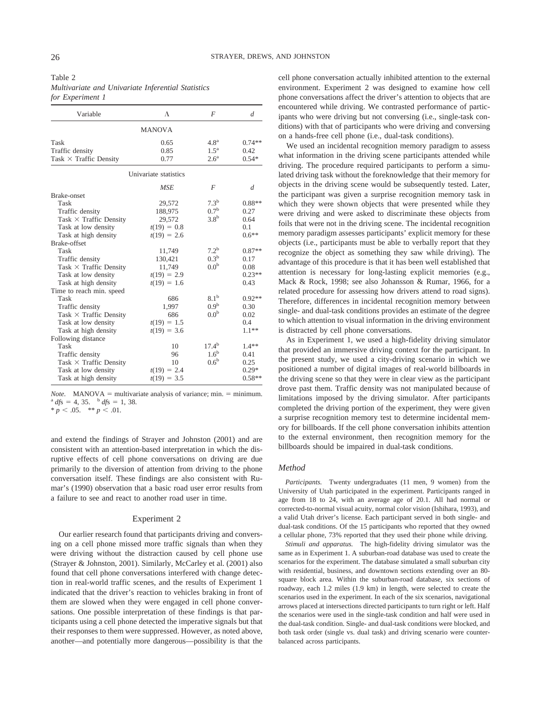| Table 2          |                                                    |
|------------------|----------------------------------------------------|
|                  | Multivariate and Univariate Inferential Statistics |
| for Experiment 1 |                                                    |

| Variable                      | Λ                     | F                  | d        |
|-------------------------------|-----------------------|--------------------|----------|
|                               | <b>MANOVA</b>         |                    |          |
| Task                          | 0.65                  | 4.8 <sup>a</sup>   | $0.74**$ |
| Traffic density               | 0.85                  | $1.5^{\mathrm{a}}$ | 0.42     |
| Task $\times$ Traffic Density | 0.77                  | 2.6 <sup>a</sup>   | $0.54*$  |
|                               | Univariate statistics |                    |          |
|                               | <b>MSE</b>            | F                  | d        |
| Brake-onset                   |                       |                    |          |
| Task                          | 29,572                | $7.3^{b}$          | $0.88**$ |
| Traffic density               | 188,975               | $0.7^{\rm b}$      | 0.27     |
| Task $\times$ Traffic Density | 29,572                | 3.8 <sup>b</sup>   | 0.64     |
| Task at low density           | $t(19) = 0.8$         |                    | 0.1      |
| Task at high density          | $t(19) = 2.6$         |                    | $0.6**$  |
| Brake-offset                  |                       |                    |          |
| Task                          | 11,749                | $7.2^{\rm b}$      | $0.87**$ |
| Traffic density               | 130,421               | 0.3 <sup>b</sup>   | 0.17     |
| Task $\times$ Traffic Density | 11,749                | 0.0 <sup>b</sup>   | 0.08     |
| Task at low density           | $t(19) = 2.9$         |                    | $0.23**$ |
| Task at high density          | $t(19) = 1.6$         |                    | 0.43     |
| Time to reach min. speed      |                       |                    |          |
| Task                          | 686                   | $8.1^{b}$          | $0.92**$ |
| Traffic density               | 1,997                 | 0.9 <sup>b</sup>   | 0.30     |
| Task $\times$ Traffic Density | 686                   | 0.0 <sup>b</sup>   | 0.02     |
| Task at low density           | $t(19) = 1.5$         |                    | 0.4      |
| Task at high density          | $t(19) = 3.6$         |                    | $1.1**$  |
| Following distance            |                       |                    |          |
| Task                          | 10                    | $17.4^{\rm b}$     | $1.4**$  |
| Traffic density               | 96                    | $1.6^{b}$          | 0.41     |
| Task $\times$ Traffic Density | 10                    | 0.6 <sup>b</sup>   | 0.25     |
| Task at low density           | $t(19) = 2.4$         |                    | $0.29*$  |
| Task at high density          | $t(19) = 3.5$         |                    | $0.58**$ |

*Note.* MANOVA = multivariate analysis of variance; min. = minimum.  $a^a dfs = 4, 35.$   $b^b dfs = 1, 38.$ 

 $* p < .05.$  \*\*  $p < .01.$ 

and extend the findings of Strayer and Johnston (2001) and are consistent with an attention-based interpretation in which the disruptive effects of cell phone conversations on driving are due primarily to the diversion of attention from driving to the phone conversation itself. These findings are also consistent with Rumar's (1990) observation that a basic road user error results from a failure to see and react to another road user in time.

## Experiment 2

Our earlier research found that participants driving and conversing on a cell phone missed more traffic signals than when they were driving without the distraction caused by cell phone use (Strayer & Johnston, 2001). Similarly, McCarley et al. (2001) also found that cell phone conversations interfered with change detection in real-world traffic scenes, and the results of Experiment 1 indicated that the driver's reaction to vehicles braking in front of them are slowed when they were engaged in cell phone conversations. One possible interpretation of these findings is that participants using a cell phone detected the imperative signals but that their responses to them were suppressed. However, as noted above, another—and potentially more dangerous—possibility is that the cell phone conversation actually inhibited attention to the external environment. Experiment 2 was designed to examine how cell phone conversations affect the driver's attention to objects that are encountered while driving. We contrasted performance of participants who were driving but not conversing (i.e., single-task conditions) with that of participants who were driving and conversing on a hands-free cell phone (i.e., dual-task conditions).

We used an incidental recognition memory paradigm to assess what information in the driving scene participants attended while driving. The procedure required participants to perform a simulated driving task without the foreknowledge that their memory for objects in the driving scene would be subsequently tested. Later, the participant was given a surprise recognition memory task in which they were shown objects that were presented while they were driving and were asked to discriminate these objects from foils that were not in the driving scene. The incidental recognition memory paradigm assesses participants' explicit memory for these objects (i.e., participants must be able to verbally report that they recognize the object as something they saw while driving). The advantage of this procedure is that it has been well established that attention is necessary for long-lasting explicit memories (e.g., Mack & Rock, 1998; see also Johansson & Rumar, 1966, for a related procedure for assessing how drivers attend to road signs). Therefore, differences in incidental recognition memory between single- and dual-task conditions provides an estimate of the degree to which attention to visual information in the driving environment is distracted by cell phone conversations.

As in Experiment 1, we used a high-fidelity driving simulator that provided an immersive driving context for the participant. In the present study, we used a city-driving scenario in which we positioned a number of digital images of real-world billboards in the driving scene so that they were in clear view as the participant drove past them. Traffic density was not manipulated because of limitations imposed by the driving simulator. After participants completed the driving portion of the experiment, they were given a surprise recognition memory test to determine incidental memory for billboards. If the cell phone conversation inhibits attention to the external environment, then recognition memory for the billboards should be impaired in dual-task conditions.

## *Method*

*Participants.* Twenty undergraduates (11 men, 9 women) from the University of Utah participated in the experiment. Participants ranged in age from 18 to 24, with an average age of 20.1. All had normal or corrected-to-normal visual acuity, normal color vision (Ishihara, 1993), and a valid Utah driver's license. Each participant served in both single- and dual-task conditions. Of the 15 participants who reported that they owned a cellular phone, 73% reported that they used their phone while driving.

*Stimuli and apparatus.* The high-fidelity driving simulator was the same as in Experiment 1. A suburban-road database was used to create the scenarios for the experiment. The database simulated a small suburban city with residential, business, and downtown sections extending over an 80 square block area. Within the suburban-road database, six sections of roadway, each 1.2 miles (1.9 km) in length, were selected to create the scenarios used in the experiment. In each of the six scenarios, navigational arrows placed at intersections directed participants to turn right or left. Half the scenarios were used in the single-task condition and half were used in the dual-task condition. Single- and dual-task conditions were blocked, and both task order (single vs. dual task) and driving scenario were counterbalanced across participants.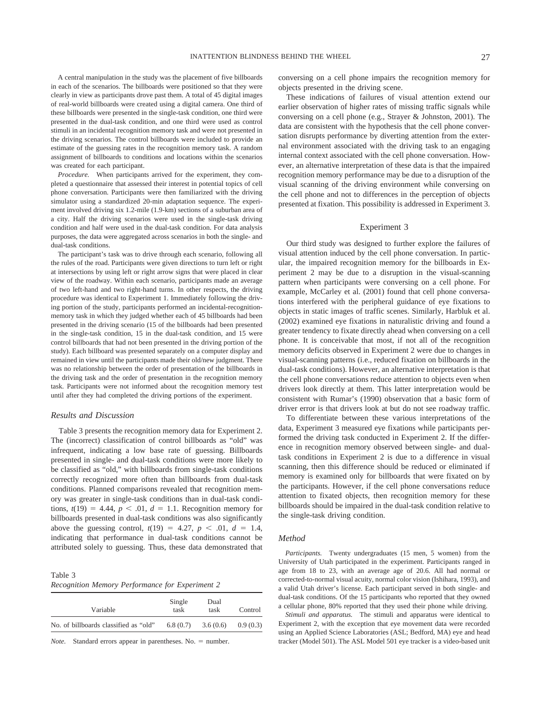A central manipulation in the study was the placement of five billboards in each of the scenarios. The billboards were positioned so that they were clearly in view as participants drove past them. A total of 45 digital images of real-world billboards were created using a digital camera. One third of these billboards were presented in the single-task condition, one third were presented in the dual-task condition, and one third were used as control stimuli in an incidental recognition memory task and were not presented in the driving scenarios. The control billboards were included to provide an estimate of the guessing rates in the recognition memory task. A random assignment of billboards to conditions and locations within the scenarios was created for each participant.

*Procedure.* When participants arrived for the experiment, they completed a questionnaire that assessed their interest in potential topics of cell phone conversation. Participants were then familiarized with the driving simulator using a standardized 20-min adaptation sequence. The experiment involved driving six 1.2-mile (1.9-km) sections of a suburban area of a city. Half the driving scenarios were used in the single-task driving condition and half were used in the dual-task condition. For data analysis purposes, the data were aggregated across scenarios in both the single- and dual-task conditions.

The participant's task was to drive through each scenario, following all the rules of the road. Participants were given directions to turn left or right at intersections by using left or right arrow signs that were placed in clear view of the roadway. Within each scenario, participants made an average of two left-hand and two right-hand turns. In other respects, the driving procedure was identical to Experiment 1. Immediately following the driving portion of the study, participants performed an incidental-recognitionmemory task in which they judged whether each of 45 billboards had been presented in the driving scenario (15 of the billboards had been presented in the single-task condition, 15 in the dual-task condition, and 15 were control billboards that had not been presented in the driving portion of the study). Each billboard was presented separately on a computer display and remained in view until the participants made their old/new judgment. There was no relationship between the order of presentation of the billboards in the driving task and the order of presentation in the recognition memory task. Participants were not informed about the recognition memory test until after they had completed the driving portions of the experiment.

### *Results and Discussion*

Table 3 presents the recognition memory data for Experiment 2. The (incorrect) classification of control billboards as "old" was infrequent, indicating a low base rate of guessing. Billboards presented in single- and dual-task conditions were more likely to be classified as "old," with billboards from single-task conditions correctly recognized more often than billboards from dual-task conditions. Planned comparisons revealed that recognition memory was greater in single-task conditions than in dual-task conditions,  $t(19) = 4.44$ ,  $p < .01$ ,  $d = 1.1$ . Recognition memory for billboards presented in dual-task conditions was also significantly above the guessing control,  $t(19) = 4.27$ ,  $p < .01$ ,  $d = 1.4$ , indicating that performance in dual-task conditions cannot be attributed solely to guessing. Thus, these data demonstrated that

Table 3 *Recognition Memory Performance for Experiment 2*

| Variable                              | Single<br>task | Dual<br>task | Control  |
|---------------------------------------|----------------|--------------|----------|
| No. of billboards classified as "old" | 6.8(0.7)       | 3.6(0.6)     | 0.9(0.3) |

*Note.* Standard errors appear in parentheses. No.  $=$  number.

conversing on a cell phone impairs the recognition memory for objects presented in the driving scene.

These indications of failures of visual attention extend our earlier observation of higher rates of missing traffic signals while conversing on a cell phone (e.g., Strayer & Johnston, 2001). The data are consistent with the hypothesis that the cell phone conversation disrupts performance by diverting attention from the external environment associated with the driving task to an engaging internal context associated with the cell phone conversation. However, an alternative interpretation of these data is that the impaired recognition memory performance may be due to a disruption of the visual scanning of the driving environment while conversing on the cell phone and not to differences in the perception of objects presented at fixation. This possibility is addressed in Experiment 3.

#### Experiment 3

Our third study was designed to further explore the failures of visual attention induced by the cell phone conversation. In particular, the impaired recognition memory for the billboards in Experiment 2 may be due to a disruption in the visual-scanning pattern when participants were conversing on a cell phone. For example, McCarley et al. (2001) found that cell phone conversations interfered with the peripheral guidance of eye fixations to objects in static images of traffic scenes. Similarly, Harbluk et al. (2002) examined eye fixations in naturalistic driving and found a greater tendency to fixate directly ahead when conversing on a cell phone. It is conceivable that most, if not all of the recognition memory deficits observed in Experiment 2 were due to changes in visual-scanning patterns (i.e., reduced fixation on billboards in the dual-task conditions). However, an alternative interpretation is that the cell phone conversations reduce attention to objects even when drivers look directly at them. This latter interpretation would be consistent with Rumar's (1990) observation that a basic form of driver error is that drivers look at but do not see roadway traffic.

To differentiate between these various interpretations of the data, Experiment 3 measured eye fixations while participants performed the driving task conducted in Experiment 2. If the difference in recognition memory observed between single- and dualtask conditions in Experiment 2 is due to a difference in visual scanning, then this difference should be reduced or eliminated if memory is examined only for billboards that were fixated on by the participants. However, if the cell phone conversations reduce attention to fixated objects, then recognition memory for these billboards should be impaired in the dual-task condition relative to the single-task driving condition.

#### *Method*

*Participants.* Twenty undergraduates (15 men, 5 women) from the University of Utah participated in the experiment. Participants ranged in age from 18 to 23, with an average age of 20.6. All had normal or corrected-to-normal visual acuity, normal color vision (Ishihara, 1993), and a valid Utah driver's license. Each participant served in both single- and dual-task conditions. Of the 15 participants who reported that they owned a cellular phone, 80% reported that they used their phone while driving.

*Stimuli and apparatus.* The stimuli and apparatus were identical to Experiment 2, with the exception that eye movement data were recorded using an Applied Science Laboratories (ASL; Bedford, MA) eye and head tracker (Model 501). The ASL Model 501 eye tracker is a video-based unit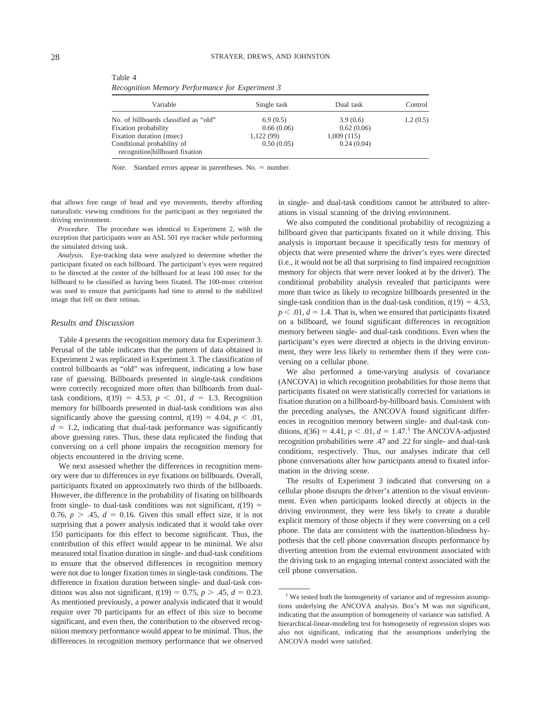| Variable                              | Single task | Dual task  | Control  |
|---------------------------------------|-------------|------------|----------|
| No. of billboards classified as "old" | 6.9(0.5)    | 3.9(0.6)   | 1.2(0.5) |
| Fixation probability                  | 0.66(0.06)  | 0.62(0.06) |          |
| Fixation duration (msec)              | 1,122 (99)  | 1,009(115) |          |
| Conditional probability of            | 0.50(0.05)  | 0.24(0.04) |          |
| recognition billboard fixation        |             |            |          |

Table 4 *Recognition Memory Performance for Experiment 3*

*Note.* Standard errors appear in parentheses. No.  $=$  number.

that allows free range of head and eye movements, thereby affording naturalistic viewing conditions for the participant as they negotiated the driving environment.

*Procedure.* The procedure was identical to Experiment 2, with the exception that participants wore an ASL 501 eye tracker while performing the simulated driving task.

*Analysis.* Eye-tracking data were analyzed to determine whether the participant fixated on each billboard. The participant's eyes were required to be directed at the center of the billboard for at least 100 msec for the billboard to be classified as having been fixated. The 100-msec criterion was used to ensure that participants had time to attend to the stabilized image that fell on their retinas.

### *Results and Discussion*

Table 4 presents the recognition memory data for Experiment 3. Perusal of the table indicates that the pattern of data obtained in Experiment 2 was replicated in Experiment 3. The classification of control billboards as "old" was infrequent, indicating a low base rate of guessing. Billboards presented in single-task conditions were correctly recognized more often than billboards from dualtask conditions,  $t(19) = 4.53$ ,  $p < .01$ ,  $d = 1.3$ . Recognition memory for billboards presented in dual-task conditions was also significantly above the guessing control,  $t(19) = 4.04$ ,  $p < .01$ ,  $d = 1.2$ , indicating that dual-task performance was significantly above guessing rates. Thus, these data replicated the finding that conversing on a cell phone impairs the recognition memory for objects encountered in the driving scene.

We next assessed whether the differences in recognition memory were due to differences in eye fixations on billboards. Overall, participants fixated on approximately two thirds of the billboards. However, the difference in the probability of fixating on billboards from single- to dual-task conditions was not significant,  $t(19)$  = 0.76,  $p > .45$ ,  $d = 0.16$ . Given this small effect size, it is not surprising that a power analysis indicated that it would take over 150 participants for this effect to become significant. Thus, the contribution of this effect would appear to be minimal. We also measured total fixation duration in single- and dual-task conditions to ensure that the observed differences in recognition memory were not due to longer fixation times in single-task conditions. The difference in fixation duration between single- and dual-task conditions was also not significant,  $t(19) = 0.75$ ,  $p > .45$ ,  $d = 0.23$ . As mentioned previously, a power analysis indicated that it would require over 70 participants for an effect of this size to become significant, and even then, the contribution to the observed recognition memory performance would appear to be minimal. Thus, the differences in recognition memory performance that we observed in single- and dual-task conditions cannot be attributed to alterations in visual scanning of the driving environment.

We also computed the conditional probability of recognizing a billboard given that participants fixated on it while driving. This analysis is important because it specifically tests for memory of objects that were presented where the driver's eyes were directed (i.e., it would not be all that surprising to find impaired recognition memory for objects that were never looked at by the driver). The conditional probability analysis revealed that participants were more than twice as likely to recognize billboards presented in the single-task condition than in the dual-task condition,  $t(19) = 4.53$ ,  $p < .01$ ,  $d = 1.4$ . That is, when we ensured that participants fixated on a billboard, we found significant differences in recognition memory between single- and dual-task conditions. Even when the participant's eyes were directed at objects in the driving environment, they were less likely to remember them if they were conversing on a cellular phone.

We also performed a time-varying analysis of covariance (ANCOVA) in which recognition probabilities for those items that participants fixated on were statistically corrected for variations in fixation duration on a billboard-by-billboard basis. Consistent with the preceding analyses, the ANCOVA found significant differences in recognition memory between single- and dual-task conditions,  $t(36) = 4.41$ ,  $p < .01$ ,  $d = 1.47$ .<sup>1</sup> The ANCOVA-adjusted recognition probabilities were .47 and .22 for single- and dual-task conditions, respectively. Thus, our analyses indicate that cell phone conversations alter how participants attend to fixated information in the driving scene.

The results of Experiment 3 indicated that conversing on a cellular phone disrupts the driver's attention to the visual environment. Even when participants looked directly at objects in the driving environment, they were less likely to create a durable explicit memory of those objects if they were conversing on a cell phone. The data are consistent with the inattention-blindness hypothesis that the cell phone conversation disrupts performance by diverting attention from the external environment associated with the driving task to an engaging internal context associated with the cell phone conversation.

<sup>&</sup>lt;sup>1</sup> We tested both the homogeneity of variance and of regression assumptions underlying the ANCOVA analysis. Box's M was not significant, indicating that the assumption of homogeneity of variance was satisfied. A hierarchical-linear-modeling test for homogeneity of regression slopes was also not significant, indicating that the assumptions underlying the ANCOVA model were satisfied.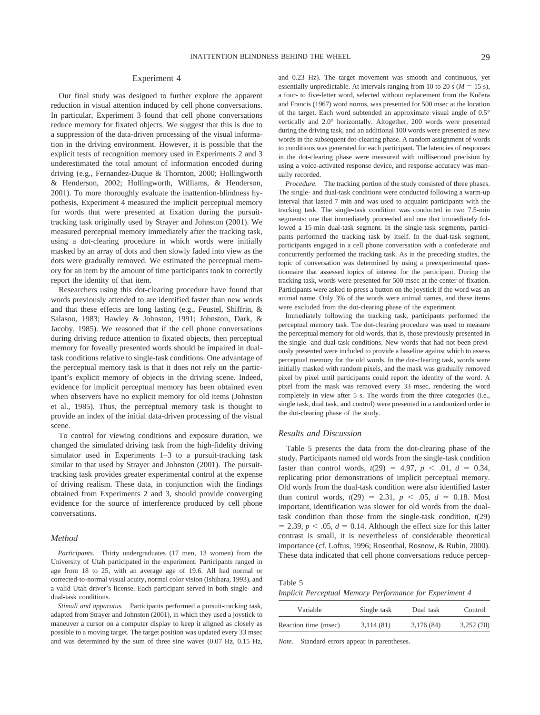#### Experiment 4

Our final study was designed to further explore the apparent reduction in visual attention induced by cell phone conversations. In particular, Experiment 3 found that cell phone conversations reduce memory for fixated objects. We suggest that this is due to a suppression of the data-driven processing of the visual information in the driving environment. However, it is possible that the explicit tests of recognition memory used in Experiments 2 and 3 underestimated the total amount of information encoded during driving (e.g., Fernandez-Duque & Thornton, 2000; Hollingworth & Henderson, 2002; Hollingworth, Williams, & Henderson, 2001). To more thoroughly evaluate the inattention-blindness hypothesis, Experiment 4 measured the implicit perceptual memory for words that were presented at fixation during the pursuittracking task originally used by Strayer and Johnston (2001). We measured perceptual memory immediately after the tracking task, using a dot-clearing procedure in which words were initially masked by an array of dots and then slowly faded into view as the dots were gradually removed. We estimated the perceptual memory for an item by the amount of time participants took to correctly report the identity of that item.

Researchers using this dot-clearing procedure have found that words previously attended to are identified faster than new words and that these effects are long lasting (e.g., Feustel, Shiffrin, & Salasoo, 1983; Hawley & Johnston, 1991; Johnston, Dark, & Jacoby, 1985). We reasoned that if the cell phone conversations during driving reduce attention to fixated objects, then perceptual memory for foveally presented words should be impaired in dualtask conditions relative to single-task conditions. One advantage of the perceptual memory task is that it does not rely on the participant's explicit memory of objects in the driving scene. Indeed, evidence for implicit perceptual memory has been obtained even when observers have no explicit memory for old items (Johnston et al., 1985). Thus, the perceptual memory task is thought to provide an index of the initial data-driven processing of the visual scene.

To control for viewing conditions and exposure duration, we changed the simulated driving task from the high-fidelity driving simulator used in Experiments 1–3 to a pursuit-tracking task similar to that used by Strayer and Johnston (2001). The pursuittracking task provides greater experimental control at the expense of driving realism. These data, in conjunction with the findings obtained from Experiments 2 and 3, should provide converging evidence for the source of interference produced by cell phone conversations.

## *Method*

*Participants.* Thirty undergraduates (17 men, 13 women) from the University of Utah participated in the experiment. Participants ranged in age from 18 to 25, with an average age of 19.6. All had normal or corrected-to-normal visual acuity, normal color vision (Ishihara, 1993), and a valid Utah driver's license. Each participant served in both single- and dual-task conditions.

*Stimuli and apparatus.* Participants performed a pursuit-tracking task, adapted from Strayer and Johnston (2001), in which they used a joystick to maneuver a cursor on a computer display to keep it aligned as closely as possible to a moving target. The target position was updated every 33 msec and was determined by the sum of three sine waves (0.07 Hz, 0.15 Hz, and 0.23 Hz). The target movement was smooth and continuous, yet essentially unpredictable. At intervals ranging from 10 to 20 s ( $M = 15$  s), a four- to five-letter word, selected without replacement from the Kučera and Francis (1967) word norms, was presented for 500 msec at the location of the target. Each word subtended an approximate visual angle of 0.5° vertically and 2.0° horizontally. Altogether, 200 words were presented during the driving task, and an additional 100 words were presented as new words in the subsequent dot-clearing phase. A random assignment of words to conditions was generated for each participant. The latencies of responses in the dot-clearing phase were measured with millisecond precision by using a voice-activated response device, and response accuracy was manually recorded.

*Procedure.* The tracking portion of the study consisted of three phases. The single- and dual-task conditions were conducted following a warm-up interval that lasted 7 min and was used to acquaint participants with the tracking task. The single-task condition was conducted in two 7.5-min segments: one that immediately proceeded and one that immediately followed a 15-min dual-task segment. In the single-task segments, participants performed the tracking task by itself. In the dual-task segment, participants engaged in a cell phone conversation with a confederate and concurrently performed the tracking task. As in the preceding studies, the topic of conversation was determined by using a preexperimental questionnaire that assessed topics of interest for the participant. During the tracking task, words were presented for 500 msec at the center of fixation. Participants were asked to press a button on the joystick if the word was an animal name. Only 3% of the words were animal names, and these items were excluded from the dot-clearing phase of the experiment.

Immediately following the tracking task, participants performed the perceptual memory task. The dot-clearing procedure was used to measure the perceptual memory for old words, that is, those previously presented in the single- and dual-task conditions. New words that had not been previously presented were included to provide a baseline against which to assess perceptual memory for the old words. In the dot-clearing task, words were initially masked with random pixels, and the mask was gradually removed pixel by pixel until participants could report the identity of the word. A pixel from the mask was removed every 33 msec, rendering the word completely in view after 5 s. The words from the three categories (i.e., single task, dual task, and control) were presented in a randomized order in the dot-clearing phase of the study.

#### *Results and Discussion*

Table 5 presents the data from the dot-clearing phase of the study. Participants named old words from the single-task condition faster than control words,  $t(29) = 4.97$ ,  $p < .01$ ,  $d = 0.34$ , replicating prior demonstrations of implicit perceptual memory. Old words from the dual-task condition were also identified faster than control words,  $t(29) = 2.31$ ,  $p < .05$ ,  $d = 0.18$ . Most important, identification was slower for old words from the dualtask condition than those from the single-task condition, *t*(29)  $= 2.39, p < .05, d = 0.14$ . Although the effect size for this latter contrast is small, it is nevertheless of considerable theoretical importance (cf. Loftus, 1996; Rosenthal, Rosnow, & Rubin, 2000). These data indicated that cell phone conversations reduce percep-

| Table 5                                                        |  |  |  |
|----------------------------------------------------------------|--|--|--|
| <b>Implicit Perceptual Memory Performance for Experiment 4</b> |  |  |  |

| Variable             | Single task | Dual task  | Control   |
|----------------------|-------------|------------|-----------|
| Reaction time (msec) | 3,114(81)   | 3,176 (84) | 3,252(70) |

*Note.* Standard errors appear in parentheses.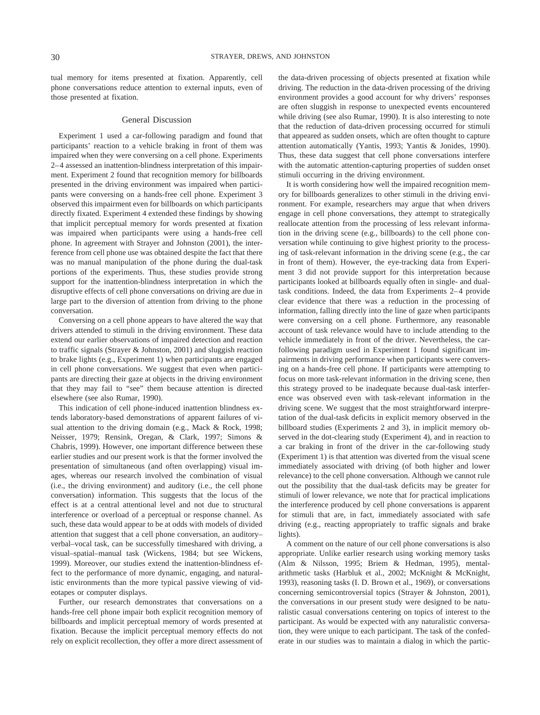tual memory for items presented at fixation. Apparently, cell phone conversations reduce attention to external inputs, even of those presented at fixation.

## General Discussion

Experiment 1 used a car-following paradigm and found that participants' reaction to a vehicle braking in front of them was impaired when they were conversing on a cell phone. Experiments 2–4 assessed an inattention-blindness interpretation of this impairment. Experiment 2 found that recognition memory for billboards presented in the driving environment was impaired when participants were conversing on a hands-free cell phone. Experiment 3 observed this impairment even for billboards on which participants directly fixated. Experiment 4 extended these findings by showing that implicit perceptual memory for words presented at fixation was impaired when participants were using a hands-free cell phone. In agreement with Strayer and Johnston (2001), the interference from cell phone use was obtained despite the fact that there was no manual manipulation of the phone during the dual-task portions of the experiments. Thus, these studies provide strong support for the inattention-blindness interpretation in which the disruptive effects of cell phone conversations on driving are due in large part to the diversion of attention from driving to the phone conversation.

Conversing on a cell phone appears to have altered the way that drivers attended to stimuli in the driving environment. These data extend our earlier observations of impaired detection and reaction to traffic signals (Strayer & Johnston, 2001) and sluggish reaction to brake lights (e.g., Experiment 1) when participants are engaged in cell phone conversations. We suggest that even when participants are directing their gaze at objects in the driving environment that they may fail to "see" them because attention is directed elsewhere (see also Rumar, 1990).

This indication of cell phone-induced inattention blindness extends laboratory-based demonstrations of apparent failures of visual attention to the driving domain (e.g., Mack & Rock, 1998; Neisser, 1979; Rensink, Oregan, & Clark, 1997; Simons & Chabris, 1999). However, one important difference between these earlier studies and our present work is that the former involved the presentation of simultaneous (and often overlapping) visual images, whereas our research involved the combination of visual (i.e., the driving environment) and auditory (i.e., the cell phone conversation) information. This suggests that the locus of the effect is at a central attentional level and not due to structural interference or overload of a perceptual or response channel. As such, these data would appear to be at odds with models of divided attention that suggest that a cell phone conversation, an auditory– verbal–vocal task, can be successfully timeshared with driving, a visual–spatial–manual task (Wickens, 1984; but see Wickens, 1999). Moreover, our studies extend the inattention-blindness effect to the performance of more dynamic, engaging, and naturalistic environments than the more typical passive viewing of videotapes or computer displays.

Further, our research demonstrates that conversations on a hands-free cell phone impair both explicit recognition memory of billboards and implicit perceptual memory of words presented at fixation. Because the implicit perceptual memory effects do not rely on explicit recollection, they offer a more direct assessment of the data-driven processing of objects presented at fixation while driving. The reduction in the data-driven processing of the driving environment provides a good account for why drivers' responses are often sluggish in response to unexpected events encountered while driving (see also Rumar, 1990). It is also interesting to note that the reduction of data-driven processing occurred for stimuli that appeared as sudden onsets, which are often thought to capture attention automatically (Yantis, 1993; Yantis & Jonides, 1990). Thus, these data suggest that cell phone conversations interfere with the automatic attention-capturing properties of sudden onset stimuli occurring in the driving environment.

It is worth considering how well the impaired recognition memory for billboards generalizes to other stimuli in the driving environment. For example, researchers may argue that when drivers engage in cell phone conversations, they attempt to strategically reallocate attention from the processing of less relevant information in the driving scene (e.g., billboards) to the cell phone conversation while continuing to give highest priority to the processing of task-relevant information in the driving scene (e.g., the car in front of them). However, the eye-tracking data from Experiment 3 did not provide support for this interpretation because participants looked at billboards equally often in single- and dualtask conditions. Indeed, the data from Experiments 2–4 provide clear evidence that there was a reduction in the processing of information, falling directly into the line of gaze when participants were conversing on a cell phone. Furthermore, any reasonable account of task relevance would have to include attending to the vehicle immediately in front of the driver. Nevertheless, the carfollowing paradigm used in Experiment 1 found significant impairments in driving performance when participants were conversing on a hands-free cell phone. If participants were attempting to focus on more task-relevant information in the driving scene, then this strategy proved to be inadequate because dual-task interference was observed even with task-relevant information in the driving scene. We suggest that the most straightforward interpretation of the dual-task deficits in explicit memory observed in the billboard studies (Experiments 2 and 3), in implicit memory observed in the dot-clearing study (Experiment 4), and in reaction to a car braking in front of the driver in the car-following study (Experiment 1) is that attention was diverted from the visual scene immediately associated with driving (of both higher and lower relevance) to the cell phone conversation. Although we cannot rule out the possibility that the dual-task deficits may be greater for stimuli of lower relevance, we note that for practical implications the interference produced by cell phone conversations is apparent for stimuli that are, in fact, immediately associated with safe driving (e.g., reacting appropriately to traffic signals and brake lights).

A comment on the nature of our cell phone conversations is also appropriate. Unlike earlier research using working memory tasks (Alm & Nilsson, 1995; Briem & Hedman, 1995), mentalarithmetic tasks (Harbluk et al., 2002; McKnight & McKnight, 1993), reasoning tasks (I. D. Brown et al., 1969), or conversations concerning semicontroversial topics (Strayer & Johnston, 2001), the conversations in our present study were designed to be naturalistic casual conversations centering on topics of interest to the participant. As would be expected with any naturalistic conversation, they were unique to each participant. The task of the confederate in our studies was to maintain a dialog in which the partic-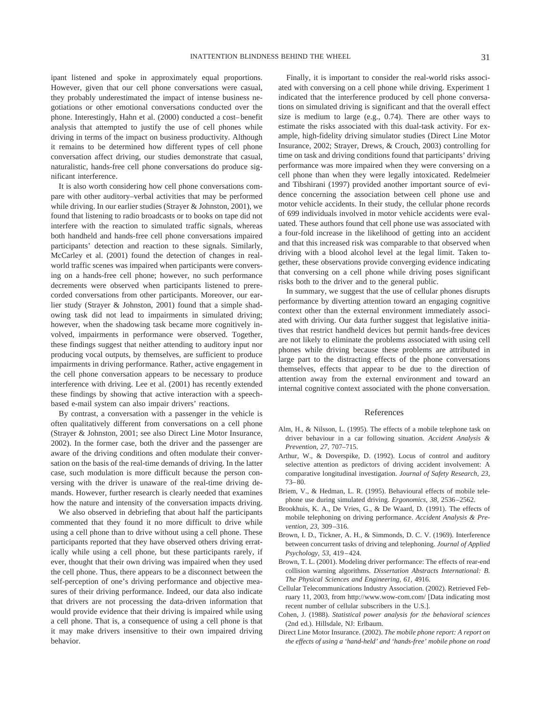ipant listened and spoke in approximately equal proportions. However, given that our cell phone conversations were casual, they probably underestimated the impact of intense business negotiations or other emotional conversations conducted over the phone. Interestingly, Hahn et al. (2000) conducted a cost–benefit analysis that attempted to justify the use of cell phones while driving in terms of the impact on business productivity. Although it remains to be determined how different types of cell phone conversation affect driving, our studies demonstrate that casual, naturalistic, hands-free cell phone conversations do produce significant interference.

It is also worth considering how cell phone conversations compare with other auditory–verbal activities that may be performed while driving. In our earlier studies (Strayer & Johnston, 2001), we found that listening to radio broadcasts or to books on tape did not interfere with the reaction to simulated traffic signals, whereas both handheld and hands-free cell phone conversations impaired participants' detection and reaction to these signals. Similarly, McCarley et al. (2001) found the detection of changes in realworld traffic scenes was impaired when participants were conversing on a hands-free cell phone; however, no such performance decrements were observed when participants listened to prerecorded conversations from other participants. Moreover, our earlier study (Strayer & Johnston, 2001) found that a simple shadowing task did not lead to impairments in simulated driving; however, when the shadowing task became more cognitively involved, impairments in performance were observed. Together, these findings suggest that neither attending to auditory input nor producing vocal outputs, by themselves, are sufficient to produce impairments in driving performance. Rather, active engagement in the cell phone conversation appears to be necessary to produce interference with driving. Lee et al. (2001) has recently extended these findings by showing that active interaction with a speechbased e-mail system can also impair drivers' reactions.

By contrast, a conversation with a passenger in the vehicle is often qualitatively different from conversations on a cell phone (Strayer & Johnston, 2001; see also Direct Line Motor Insurance, 2002). In the former case, both the driver and the passenger are aware of the driving conditions and often modulate their conversation on the basis of the real-time demands of driving. In the latter case, such modulation is more difficult because the person conversing with the driver is unaware of the real-time driving demands. However, further research is clearly needed that examines how the nature and intensity of the conversation impacts driving.

We also observed in debriefing that about half the participants commented that they found it no more difficult to drive while using a cell phone than to drive without using a cell phone. These participants reported that they have observed others driving erratically while using a cell phone, but these participants rarely, if ever, thought that their own driving was impaired when they used the cell phone. Thus, there appears to be a disconnect between the self-perception of one's driving performance and objective measures of their driving performance. Indeed, our data also indicate that drivers are not processing the data-driven information that would provide evidence that their driving is impaired while using a cell phone. That is, a consequence of using a cell phone is that it may make drivers insensitive to their own impaired driving behavior.

Finally, it is important to consider the real-world risks associated with conversing on a cell phone while driving. Experiment 1 indicated that the interference produced by cell phone conversations on simulated driving is significant and that the overall effect size is medium to large (e.g., 0.74). There are other ways to estimate the risks associated with this dual-task activity. For example, high-fidelity driving simulator studies (Direct Line Motor Insurance, 2002; Strayer, Drews, & Crouch, 2003) controlling for time on task and driving conditions found that participants' driving performance was more impaired when they were conversing on a cell phone than when they were legally intoxicated. Redelmeier and Tibshirani (1997) provided another important source of evidence concerning the association between cell phone use and motor vehicle accidents. In their study, the cellular phone records of 699 individuals involved in motor vehicle accidents were evaluated. These authors found that cell phone use was associated with a four-fold increase in the likelihood of getting into an accident and that this increased risk was comparable to that observed when driving with a blood alcohol level at the legal limit. Taken together, these observations provide converging evidence indicating that conversing on a cell phone while driving poses significant risks both to the driver and to the general public.

In summary, we suggest that the use of cellular phones disrupts performance by diverting attention toward an engaging cognitive context other than the external environment immediately associated with driving. Our data further suggest that legislative initiatives that restrict handheld devices but permit hands-free devices are not likely to eliminate the problems associated with using cell phones while driving because these problems are attributed in large part to the distracting effects of the phone conversations themselves, effects that appear to be due to the direction of attention away from the external environment and toward an internal cognitive context associated with the phone conversation.

#### References

- Alm, H., & Nilsson, L. (1995). The effects of a mobile telephone task on driver behaviour in a car following situation. *Accident Analysis & Prevention, 27,* 707–715.
- Arthur, W., & Doverspike, D. (1992). Locus of control and auditory selective attention as predictors of driving accident involvement: A comparative longitudinal investigation. *Journal of Safety Research, 23,* 73–80.
- Briem, V., & Hedman, L. R. (1995). Behavioural effects of mobile telephone use during simulated driving. *Ergonomics, 38,* 2536–2562.
- Brookhuis, K. A., De Vries, G., & De Waard, D. (1991). The effects of mobile telephoning on driving performance. *Accident Analysis & Prevention, 23,* 309–316.
- Brown, I. D., Tickner, A. H., & Simmonds, D. C. V. (1969). Interference between concurrent tasks of driving and telephoning. *Journal of Applied Psychology, 53,* 419–424.
- Brown, T. L. (2001). Modeling driver performance: The effects of rear-end collision warning algorithms. *Dissertation Abstracts International: B. The Physical Sciences and Engineering, 61,* 4916.
- Cellular Telecommunications Industry Association. (2002). Retrieved February 11, 2003, from http://www.wow-com.com/ [Data indicating most recent number of cellular subscribers in the U.S.].
- Cohen, J. (1988). *Statistical power analysis for the behavioral sciences* (2nd ed.). Hillsdale, NJ: Erlbaum.
- Direct Line Motor Insurance. (2002). *The mobile phone report: A report on the effects of using a 'hand-held' and 'hands-free' mobile phone on road*